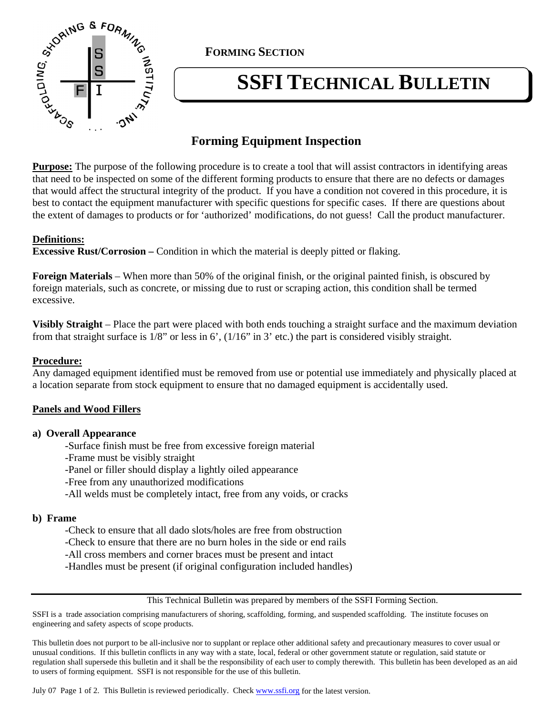

**FORMING SECTION**

# **SSFI TECHNICAL BULLETIN**

# **Forming Equipment Inspection**

**Purpose:** The purpose of the following procedure is to create a tool that will assist contractors in identifying areas that need to be inspected on some of the different forming products to ensure that there are no defects or damages that would affect the structural integrity of the product. If you have a condition not covered in this procedure, it is best to contact the equipment manufacturer with specific questions for specific cases. If there are questions about the extent of damages to products or for 'authorized' modifications, do not guess! Call the product manufacturer.

## **Definitions:**

**Excessive Rust/Corrosion** – Condition in which the material is deeply pitted or flaking.

**Foreign Materials** – When more than 50% of the original finish, or the original painted finish, is obscured by foreign materials, such as concrete, or missing due to rust or scraping action, this condition shall be termed excessive.

**Visibly Straight** – Place the part were placed with both ends touching a straight surface and the maximum deviation from that straight surface is 1/8" or less in 6', (1/16" in 3' etc.) the part is considered visibly straight.

## **Procedure:**

Any damaged equipment identified must be removed from use or potential use immediately and physically placed at a location separate from stock equipment to ensure that no damaged equipment is accidentally used.

## **Panels and Wood Fillers**

## **a) Overall Appearance**

- -Surface finish must be free from excessive foreign material
- -Frame must be visibly straight
- -Panel or filler should display a lightly oiled appearance
- -Free from any unauthorized modifications
- -All welds must be completely intact, free from any voids, or cracks

## **b) Frame**

-Check to ensure that all dado slots/holes are free from obstruction

- -Check to ensure that there are no burn holes in the side or end rails
- -All cross members and corner braces must be present and intact
- -Handles must be present (if original configuration included handles)

#### This Technical Bulletin was prepared by members of the SSFI Forming Section.

SSFI is a trade association comprising manufacturers of shoring, scaffolding, forming, and suspended scaffolding. The institute focuses on engineering and safety aspects of scope products.

This bulletin does not purport to be all-inclusive nor to supplant or replace other additional safety and precautionary measures to cover usual or unusual conditions. If this bulletin conflicts in any way with a state, local, federal or other government statute or regulation, said statute or regulation shall supersede this bulletin and it shall be the responsibility of each user to comply therewith. This bulletin has been developed as an aid to users of forming equipment. SSFI is not responsible for the use of this bulletin.

July 07 Page 1 of 2. This Bulletin is reviewed periodically. Check www.ssfi.org for the latest version.